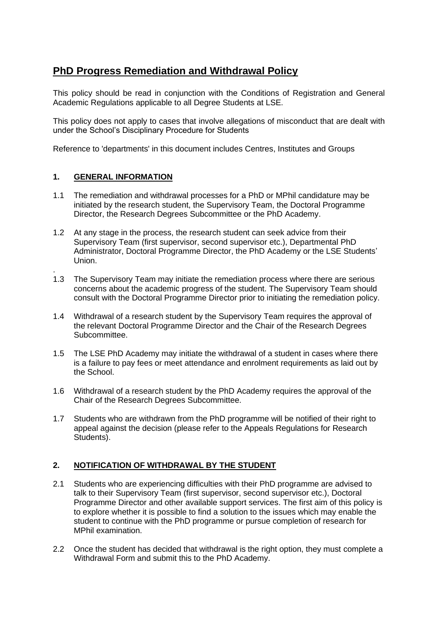# **PhD Progress Remediation and Withdrawal Policy**

This policy should be read in conjunction with the Conditions of Registration and General Academic Regulations applicable to all Degree Students at LSE.

This policy does not apply to cases that involve allegations of misconduct that are dealt with under the School's Disciplinary Procedure for Students

Reference to 'departments' in this document includes Centres, Institutes and Groups

## **1. GENERAL INFORMATION**

.

- 1.1 The remediation and withdrawal processes for a PhD or MPhil candidature may be initiated by the research student, the Supervisory Team, the Doctoral Programme Director, the Research Degrees Subcommittee or the PhD Academy.
- 1.2 At any stage in the process, the research student can seek advice from their Supervisory Team (first supervisor, second supervisor etc.), Departmental PhD Administrator, Doctoral Programme Director, the PhD Academy or the LSE Students' Union.
- 1.3 The Supervisory Team may initiate the remediation process where there are serious concerns about the academic progress of the student. The Supervisory Team should consult with the Doctoral Programme Director prior to initiating the remediation policy.
- 1.4 Withdrawal of a research student by the Supervisory Team requires the approval of the relevant Doctoral Programme Director and the Chair of the Research Degrees Subcommittee.
- 1.5 The LSE PhD Academy may initiate the withdrawal of a student in cases where there is a failure to pay fees or meet attendance and enrolment requirements as laid out by the School.
- 1.6 Withdrawal of a research student by the PhD Academy requires the approval of the Chair of the Research Degrees Subcommittee.
- 1.7 Students who are withdrawn from the PhD programme will be notified of their right to appeal against the decision (please refer to the Appeals Regulations for Research Students).

## **2. NOTIFICATION OF WITHDRAWAL BY THE STUDENT**

- 2.1 Students who are experiencing difficulties with their PhD programme are advised to talk to their Supervisory Team (first supervisor, second supervisor etc.), Doctoral Programme Director and other available support services. The first aim of this policy is to explore whether it is possible to find a solution to the issues which may enable the student to continue with the PhD programme or pursue completion of research for MPhil examination.
- 2.2 Once the student has decided that withdrawal is the right option, they must complete a Withdrawal Form and submit this to the PhD Academy.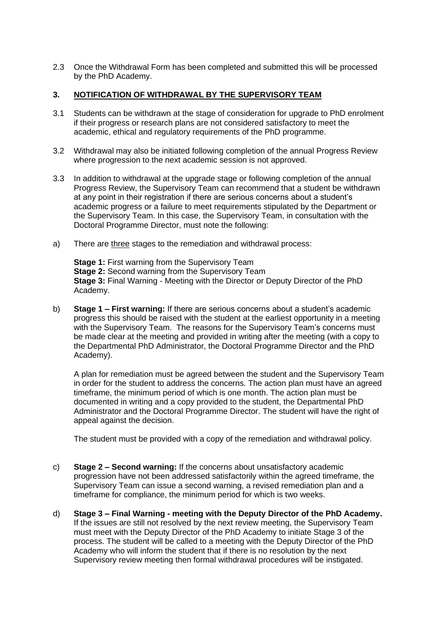2.3 Once the Withdrawal Form has been completed and submitted this will be processed by the PhD Academy.

### **3. NOTIFICATION OF WITHDRAWAL BY THE SUPERVISORY TEAM**

- 3.1 Students can be withdrawn at the stage of consideration for upgrade to PhD enrolment if their progress or research plans are not considered satisfactory to meet the academic, ethical and regulatory requirements of the PhD programme.
- 3.2 Withdrawal may also be initiated following completion of the annual Progress Review where progression to the next academic session is not approved.
- 3.3 In addition to withdrawal at the upgrade stage or following completion of the annual Progress Review, the Supervisory Team can recommend that a student be withdrawn at any point in their registration if there are serious concerns about a student's academic progress or a failure to meet requirements stipulated by the Department or the Supervisory Team. In this case, the Supervisory Team, in consultation with the Doctoral Programme Director, must note the following:
- a) There are three stages to the remediation and withdrawal process:

**Stage 1: First warning from the Supervisory Team Stage 2:** Second warning from the Supervisory Team **Stage 3:** Final Warning - Meeting with the Director or Deputy Director of the PhD Academy.

b) **Stage 1 – First warning:** If there are serious concerns about a student's academic progress this should be raised with the student at the earliest opportunity in a meeting with the Supervisory Team. The reasons for the Supervisory Team's concerns must be made clear at the meeting and provided in writing after the meeting (with a copy to the Departmental PhD Administrator, the Doctoral Programme Director and the PhD Academy).

A plan for remediation must be agreed between the student and the Supervisory Team in order for the student to address the concerns. The action plan must have an agreed timeframe, the minimum period of which is one month. The action plan must be documented in writing and a copy provided to the student, the Departmental PhD Administrator and the Doctoral Programme Director. The student will have the right of appeal against the decision.

The student must be provided with a copy of the remediation and withdrawal policy.

- c) **Stage 2 – Second warning:** If the concerns about unsatisfactory academic progression have not been addressed satisfactorily within the agreed timeframe, the Supervisory Team can issue a second warning, a revised remediation plan and a timeframe for compliance, the minimum period for which is two weeks.
- d) **Stage 3 – Final Warning - meeting with the Deputy Director of the PhD Academy.**  If the issues are still not resolved by the next review meeting, the Supervisory Team must meet with the Deputy Director of the PhD Academy to initiate Stage 3 of the process. The student will be called to a meeting with the Deputy Director of the PhD Academy who will inform the student that if there is no resolution by the next Supervisory review meeting then formal withdrawal procedures will be instigated.